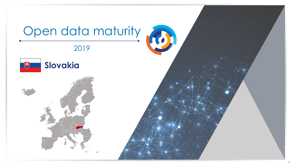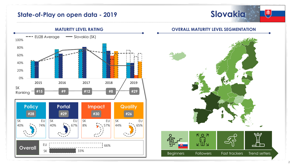## **State-of-Play on open data - 2019**





### **OVERALL MATURITY LEVEL SEGMENTATION**

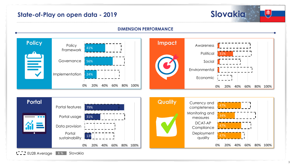# **State-of-Play on open data - 2019 Slovakia**



## **DIMENSION PERFORMANCE**



3